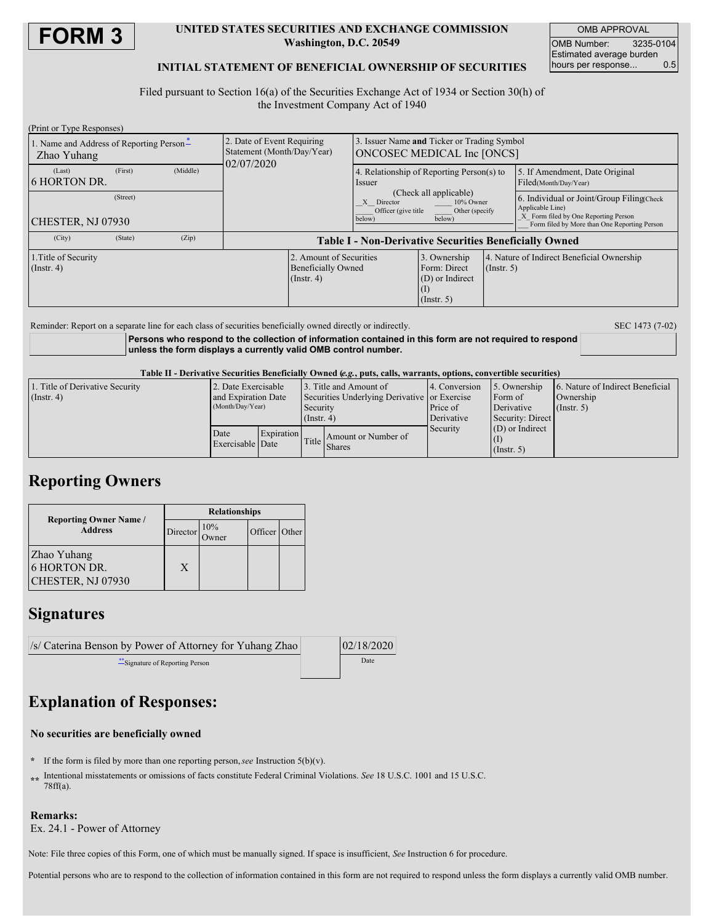

### **UNITED STATES SECURITIES AND EXCHANGE COMMISSION Washington, D.C. 20549**

OMB APPROVAL OMB Number: 3235-0104 Estimated average burden hours per response... 0.5

### **INITIAL STATEMENT OF BENEFICIAL OWNERSHIP OF SECURITIES**

Filed pursuant to Section 16(a) of the Securities Exchange Act of 1934 or Section 30(h) of the Investment Company Act of 1940

| 2. Date of Event Requiring<br>Statement (Month/Day/Year)      | 3. Issuer Name and Ticker or Trading Symbol<br>ONCOSEC MEDICAL Inc [ONCS]                                                                                                  |                                                                     |                                                                |                                                                                                                                                        |  |
|---------------------------------------------------------------|----------------------------------------------------------------------------------------------------------------------------------------------------------------------------|---------------------------------------------------------------------|----------------------------------------------------------------|--------------------------------------------------------------------------------------------------------------------------------------------------------|--|
|                                                               | 4. Relationship of Reporting Person(s) to<br>Issuer<br>(Check all applicable)<br>10% Owner<br>X<br>Director<br>Officer (give title)<br>Other (specify)<br>below)<br>below) |                                                                     |                                                                | 5. If Amendment, Date Original<br>Filed(Month/Day/Year)                                                                                                |  |
|                                                               |                                                                                                                                                                            |                                                                     |                                                                | 6. Individual or Joint/Group Filing(Check)<br>Applicable Line)<br>X Form filed by One Reporting Person<br>Form filed by More than One Reporting Person |  |
|                                                               |                                                                                                                                                                            |                                                                     |                                                                |                                                                                                                                                        |  |
| <b>Table I - Non-Derivative Securities Beneficially Owned</b> |                                                                                                                                                                            |                                                                     |                                                                |                                                                                                                                                        |  |
| 1. Title of Security<br>$($ Instr. 4 $)$<br>$($ Instr. 4 $)$  |                                                                                                                                                                            | 3. Ownership<br>Form: Direct<br>(D) or Indirect<br>$($ Instr. 5 $)$ | 4. Nature of Indirect Beneficial Ownership<br>$($ Instr. 5 $)$ |                                                                                                                                                        |  |
|                                                               | 02/07/2020                                                                                                                                                                 | 2. Amount of Securities<br><b>Beneficially Owned</b>                |                                                                |                                                                                                                                                        |  |

Reminder: Report on a separate line for each class of securities beneficially owned directly or indirectly. SEC 1473 (7-02)

**Persons who respond to the collection of information contained in this form are not required to respond unless the form displays a currently valid OMB control number.**

Table II - Derivative Securities Beneficially Owned (e.g., puts, calls, warrants, options, convertible securities)

| 1. Title of Derivative Security<br>$($ Instr. 4 $)$ | 2. Date Exercisable<br>and Expiration Date<br>(Month/Day/Year) |            | 3. Title and Amount of<br>Securities Underlying Derivative or Exercise<br>Security<br>$($ Instr. 4 $)$ |                                     | 4. Conversion<br>Price of<br>Derivative | 5. Ownership<br>Form of<br>Derivative<br>Security: Direct | 6. Nature of Indirect Beneficial<br>Ownership<br>$($ Instr. 5 $)$ |
|-----------------------------------------------------|----------------------------------------------------------------|------------|--------------------------------------------------------------------------------------------------------|-------------------------------------|-----------------------------------------|-----------------------------------------------------------|-------------------------------------------------------------------|
|                                                     | Date<br>Exercisable Date                                       | Expiration |                                                                                                        | Amount or Number of<br>Title Shares | Security                                | $(D)$ or Indirect<br>$($ Instr. 5 $)$                     |                                                                   |

## **Reporting Owners**

|                                                  | <b>Relationships</b> |                            |               |  |  |
|--------------------------------------------------|----------------------|----------------------------|---------------|--|--|
| <b>Reporting Owner Name</b> /<br><b>Address</b>  | Director             | $\frac{10\%}{\text{Nmer}}$ | Officer Other |  |  |
| Zhao Yuhang<br>6 HORTON DR.<br>CHESTER, NJ 07930 | X                    |                            |               |  |  |

## **Signatures**

| /s/ Caterina Benson by Power of Attorney for Yuhang Zhao | 02/18/2020 |
|----------------------------------------------------------|------------|
| Signature of Reporting Person                            | Date       |

# **Explanation of Responses:**

### **No securities are beneficially owned**

- **\*** If the form is filed by more than one reporting person,*see* Instruction 5(b)(v).
- **\*\*** Intentional misstatements or omissions of facts constitute Federal Criminal Violations. *See* 18 U.S.C. 1001 and 15 U.S.C. 78ff(a).

### **Remarks:**

Ex. 24.1 - Power of Attorney

Note: File three copies of this Form, one of which must be manually signed. If space is insufficient, *See* Instruction 6 for procedure.

Potential persons who are to respond to the collection of information contained in this form are not required to respond unless the form displays a currently valid OMB number.